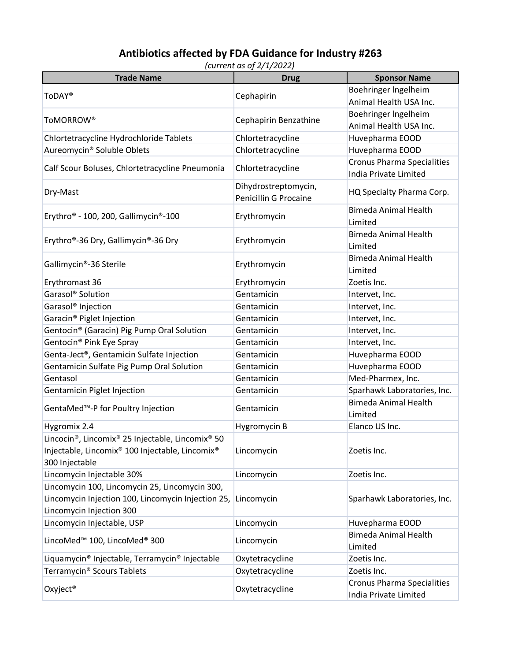## **Antibiotics affected by FDA Guidance for Industry #263**

*(current as of 2/1/2022)*

| <b>Trade Name</b>                                                                         | <b>Drug</b>           | <b>Sponsor Name</b>                                               |
|-------------------------------------------------------------------------------------------|-----------------------|-------------------------------------------------------------------|
| <b>ToDAY®</b>                                                                             | Cephapirin            | Boehringer Ingelheim                                              |
|                                                                                           |                       | Animal Health USA Inc.                                            |
| ToMORROW®                                                                                 | Cephapirin Benzathine | Boehringer Ingelheim                                              |
|                                                                                           |                       | Animal Health USA Inc.                                            |
| Chlortetracycline Hydrochloride Tablets                                                   | Chlortetracycline     | Huvepharma EOOD                                                   |
| Aureomycin <sup>®</sup> Soluble Oblets                                                    | Chlortetracycline     | Huvepharma EOOD                                                   |
| Calf Scour Boluses, Chlortetracycline Pneumonia                                           | Chlortetracycline     | <b>Cronus Pharma Specialities</b><br><b>India Private Limited</b> |
| Dry-Mast                                                                                  | Dihydrostreptomycin,  | HQ Specialty Pharma Corp.                                         |
|                                                                                           | Penicillin G Procaine |                                                                   |
| Erythro® - 100, 200, Gallimycin®-100                                                      | Erythromycin          | <b>Bimeda Animal Health</b><br>Limited                            |
| Erythro®-36 Dry, Gallimycin®-36 Dry                                                       | Erythromycin          | <b>Bimeda Animal Health</b><br>Limited                            |
| Gallimycin®-36 Sterile                                                                    | Erythromycin          | <b>Bimeda Animal Health</b><br>Limited                            |
| Erythromast 36                                                                            | Erythromycin          | Zoetis Inc.                                                       |
| Garasol <sup>®</sup> Solution                                                             | Gentamicin            | Intervet, Inc.                                                    |
| Garasol <sup>®</sup> Injection                                                            | Gentamicin            | Intervet, Inc.                                                    |
| Garacin <sup>®</sup> Piglet Injection                                                     | Gentamicin            | Intervet, Inc.                                                    |
| Gentocin® (Garacin) Pig Pump Oral Solution                                                | Gentamicin            | Intervet, Inc.                                                    |
| Gentocin® Pink Eye Spray                                                                  | Gentamicin            | Intervet, Inc.                                                    |
| Genta-Ject®, Gentamicin Sulfate Injection                                                 | Gentamicin            | Huvepharma EOOD                                                   |
| Gentamicin Sulfate Pig Pump Oral Solution                                                 | Gentamicin            | Huvepharma EOOD                                                   |
| Gentasol                                                                                  | Gentamicin            | Med-Pharmex, Inc.                                                 |
| <b>Gentamicin Piglet Injection</b>                                                        | Gentamicin            | Sparhawk Laboratories, Inc.                                       |
| GentaMed <sup>™</sup> -P for Poultry Injection                                            | Gentamicin            | <b>Bimeda Animal Health</b><br>Limited                            |
| Hygromix 2.4                                                                              | Hygromycin B          | Elanco US Inc.                                                    |
| Lincocin <sup>®</sup> , Lincomix <sup>®</sup> 25 Injectable, Lincomix <sup>®</sup> 50     |                       |                                                                   |
| Injectable, Lincomix <sup>®</sup> 100 Injectable, Lincomix <sup>®</sup><br>300 Injectable | Lincomycin            | Zoetis Inc.                                                       |
| Lincomycin Injectable 30%                                                                 | Lincomycin            | Zoetis Inc.                                                       |
| Lincomycin 100, Lincomycin 25, Lincomycin 300,                                            |                       |                                                                   |
| Lincomycin Injection 100, Lincomycin Injection 25,                                        | Lincomycin            | Sparhawk Laboratories, Inc.                                       |
| Lincomycin Injection 300                                                                  |                       |                                                                   |
| Lincomycin Injectable, USP                                                                | Lincomycin            | Huvepharma EOOD                                                   |
| LincoMed <sup>™</sup> 100, LincoMed® 300                                                  | Lincomycin            | <b>Bimeda Animal Health</b>                                       |
|                                                                                           |                       | Limited                                                           |
| Liquamycin® Injectable, Terramycin® Injectable                                            | Oxytetracycline       | Zoetis Inc.                                                       |
| Terramycin <sup>®</sup> Scours Tablets                                                    | Oxytetracycline       | Zoetis Inc.                                                       |
| Oxyject <sup>®</sup>                                                                      | Oxytetracycline       | <b>Cronus Pharma Specialities</b><br>India Private Limited        |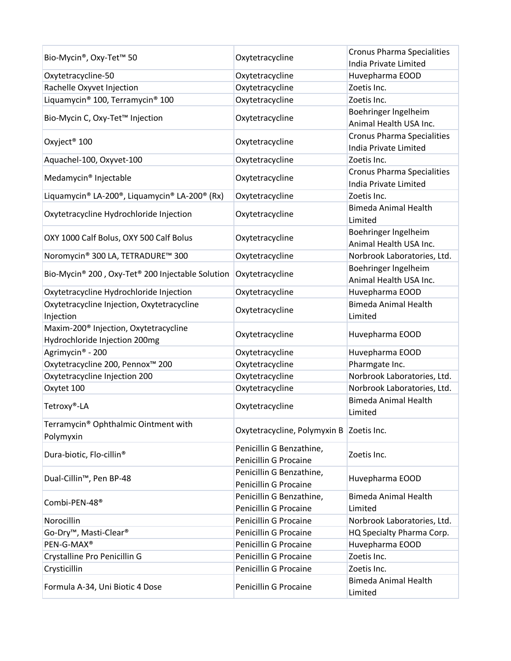| Bio-Mycin®, Oxy-Tet™ 50                              | Oxytetracycline                          | <b>Cronus Pharma Specialities</b><br>India Private Limited |
|------------------------------------------------------|------------------------------------------|------------------------------------------------------------|
| Oxytetracycline-50                                   | Oxytetracycline                          | Huvepharma EOOD                                            |
| Rachelle Oxyvet Injection                            | Oxytetracycline                          | Zoetis Inc.                                                |
| Liquamycin® 100, Terramycin® 100                     | Oxytetracycline                          | Zoetis Inc.                                                |
|                                                      |                                          | Boehringer Ingelheim                                       |
| Bio-Mycin C, Oxy-Tet™ Injection                      | Oxytetracycline                          | Animal Health USA Inc.                                     |
| Oxyject <sup>®</sup> 100                             | Oxytetracycline                          | <b>Cronus Pharma Specialities</b>                          |
|                                                      |                                          | India Private Limited                                      |
| Aquachel-100, Oxyvet-100                             | Oxytetracycline                          | Zoetis Inc.                                                |
| Medamycin <sup>®</sup> Injectable<br>Oxytetracycline |                                          | <b>Cronus Pharma Specialities</b>                          |
|                                                      |                                          | India Private Limited                                      |
| Liquamycin® LA-200®, Liquamycin® LA-200® (Rx)        | Oxytetracycline                          | Zoetis Inc.                                                |
|                                                      |                                          | <b>Bimeda Animal Health</b>                                |
| Oxytetracycline Hydrochloride Injection              | Oxytetracycline                          | Limited                                                    |
|                                                      |                                          | Boehringer Ingelheim                                       |
| OXY 1000 Calf Bolus, OXY 500 Calf Bolus              | Oxytetracycline                          | Animal Health USA Inc.                                     |
| Noromycin® 300 LA, TETRADURE™ 300                    | Oxytetracycline                          | Norbrook Laboratories, Ltd.                                |
|                                                      | Oxytetracycline                          | Boehringer Ingelheim                                       |
| Bio-Mycin® 200, Oxy-Tet® 200 Injectable Solution     |                                          | Animal Health USA Inc.                                     |
| Oxytetracycline Hydrochloride Injection              | Oxytetracycline                          | Huvepharma EOOD                                            |
| Oxytetracycline Injection, Oxytetracycline           |                                          | <b>Bimeda Animal Health</b>                                |
| Injection                                            | Oxytetracycline                          | Limited                                                    |
| Maxim-200 <sup>®</sup> Injection, Oxytetracycline    |                                          | Huvepharma EOOD                                            |
| Hydrochloride Injection 200mg                        | Oxytetracycline                          |                                                            |
| Agrimycin® - 200                                     | Oxytetracycline                          | Huvepharma EOOD                                            |
| Oxytetracycline 200, Pennox <sup>™</sup> 200         | Oxytetracycline                          | Pharmgate Inc.                                             |
| Oxytetracycline Injection 200                        | Oxytetracycline                          | Norbrook Laboratories, Ltd.                                |
| Oxytet 100                                           | Oxytetracycline                          | Norbrook Laboratories, Ltd.                                |
| Tetroxy®-LA                                          | Oxytetracycline                          | <b>Bimeda Animal Health</b><br>Limited                     |
| Terramycin® Ophthalmic Ointment with                 |                                          |                                                            |
| Polymyxin                                            | Oxytetracycline, Polymyxin B Zoetis Inc. |                                                            |
|                                                      | Penicillin G Benzathine,                 | Zoetis Inc.                                                |
| Dura-biotic, Flo-cillin <sup>®</sup>                 | Penicillin G Procaine                    |                                                            |
| Dual-Cillin™, Pen BP-48                              | Penicillin G Benzathine,                 | Huvepharma EOOD                                            |
|                                                      | Penicillin G Procaine                    |                                                            |
| Combi-PEN-48 <sup>®</sup>                            | Penicillin G Benzathine,                 | <b>Bimeda Animal Health</b>                                |
|                                                      | Penicillin G Procaine                    | Limited                                                    |
| Norocillin                                           | Penicillin G Procaine                    | Norbrook Laboratories, Ltd.                                |
| Go-Dry <sup>™</sup> , Masti-Clear <sup>®</sup>       | Penicillin G Procaine                    | HQ Specialty Pharma Corp.                                  |
| PEN-G-MAX®                                           | Penicillin G Procaine                    | Huvepharma EOOD                                            |
| Crystalline Pro Penicillin G                         | Penicillin G Procaine                    | Zoetis Inc.                                                |
| Crysticillin                                         | Penicillin G Procaine                    | Zoetis Inc.                                                |
| Formula A-34, Uni Biotic 4 Dose                      | Penicillin G Procaine                    | <b>Bimeda Animal Health</b><br>Limited                     |